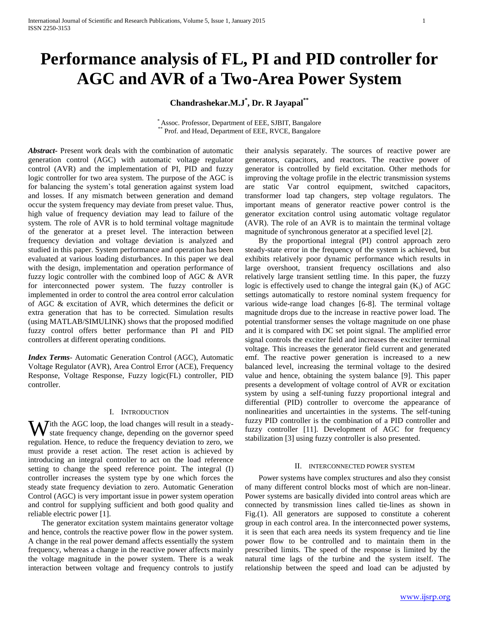# **Performance analysis of FL, PI and PID controller for AGC and AVR of a Two-Area Power System**

**Chandrashekar.M.J\* , Dr. R Jayapal\*\***

\* Assoc. Professor, Department of EEE, SJBIT, Bangalore Prof. and Head, Department of EEE, RVCE, Bangalore

*Abstract***-** Present work deals with the combination of automatic generation control (AGC) with automatic voltage regulator control (AVR) and the implementation of PI, PID and fuzzy logic controller for two area system. The purpose of the AGC is for balancing the system"s total generation against system load and losses. If any mismatch between generation and demand occur the system frequency may deviate from preset value. Thus, high value of frequency deviation may lead to failure of the system. The role of AVR is to hold terminal voltage magnitude of the generator at a preset level. The interaction between frequency deviation and voltage deviation is analyzed and studied in this paper. System performance and operation has been evaluated at various loading disturbances. In this paper we deal with the design, implementation and operation performance of fuzzy logic controller with the combined loop of AGC & AVR for interconnected power system. The fuzzy controller is implemented in order to control the area control error calculation of AGC & excitation of AVR, which determines the deficit or extra generation that has to be corrected. Simulation results (using MATLAB/SIMULINK) shows that the proposed modified fuzzy control offers better performance than PI and PID controllers at different operating conditions.

*Index Terms*- Automatic Generation Control (AGC), Automatic Voltage Regulator (AVR), Area Control Error (ACE), Frequency Response, Voltage Response, Fuzzy logic(FL) controller, PID controller.

## I. INTRODUCTION

With the AGC loop, the load changes will result in a steady-<br>state frequency change, depending on the governor speed state frequency change, depending on the governor speed regulation. Hence, to reduce the frequency deviation to zero, we must provide a reset action. The reset action is achieved by introducing an integral controller to act on the load reference setting to change the speed reference point. The integral (I) controller increases the system type by one which forces the steady state frequency deviation to zero. Automatic Generation Control (AGC) is very important issue in power system operation and control for supplying sufficient and both good quality and reliable electric power [1].

 The generator excitation system maintains generator voltage and hence, controls the reactive power flow in the power system. A change in the real power demand affects essentially the system frequency, whereas a change in the reactive power affects mainly the voltage magnitude in the power system. There is a weak interaction between voltage and frequency controls to justify

their analysis separately. The sources of reactive power are generators, capacitors, and reactors. The reactive power of generator is controlled by field excitation. Other methods for improving the voltage profile in the electric transmission systems are static Var control equipment, switched capacitors, transformer load tap changers, step voltage regulators. The important means of generator reactive power control is the generator excitation control using automatic voltage regulator (AVR). The role of an AVR is to maintain the terminal voltage magnitude of synchronous generator at a specified level [2].

 By the proportional integral (PI) control approach zero steady-state error in the frequency of the system is achieved, but exhibits relatively poor dynamic performance which results in large overshoot, transient frequency oscillations and also relatively large transient settling time. In this paper, the fuzzy logic is effectively used to change the integral gain  $(K_i)$  of AGC settings automatically to restore nominal system frequency for various wide-range load changes [6-8]. The terminal voltage magnitude drops due to the increase in reactive power load. The potential transformer senses the voltage magnitude on one phase and it is compared with DC set point signal. The amplified error signal controls the exciter field and increases the exciter terminal voltage. This increases the generator field current and generated emf. The reactive power generation is increased to a new balanced level, increasing the terminal voltage to the desired value and hence, obtaining the system balance [9]. This paper presents a development of voltage control of AVR or excitation system by using a self-tuning fuzzy proportional integral and differential (PID) controller to overcome the appearance of nonlinearities and uncertainties in the systems. The self-tuning fuzzy PID controller is the combination of a PID controller and fuzzy controller [11]. Development of AGC for frequency stabilization [3] using fuzzy controller is also presented.

#### II. INTERCONNECTED POWER SYSTEM

 Power systems have complex structures and also they consist of many different control blocks most of which are non-linear. Power systems are basically divided into control areas which are connected by transmission lines called tie-lines as shown in Fig.(1). All generators are supposed to constitute a coherent group in each control area. In the interconnected power systems, it is seen that each area needs its system frequency and tie line power flow to be controlled and to maintain them in the prescribed limits. The speed of the response is limited by the natural time lags of the turbine and the system itself. The relationship between the speed and load can be adjusted by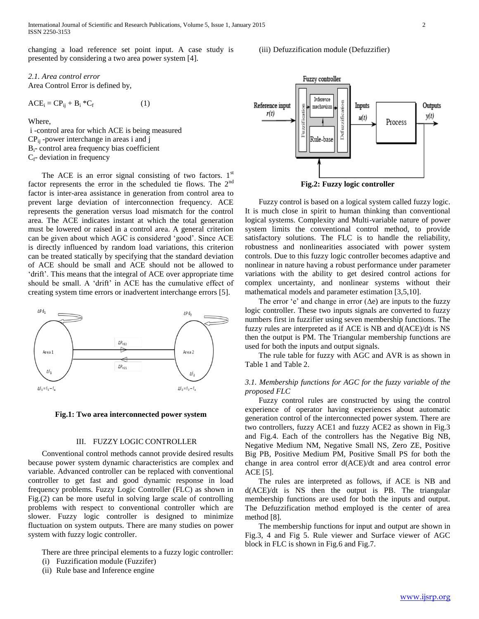changing a load reference set point input. A case study is presented by considering a two area power system [4].

## *2.1. Area control error* Area Control Error is defined by,

$$
ACEi = CPij + Bi * Cf
$$
 (1)

Where,

i -control area for which ACE is being measured CPij -power interchange in areas i and j  $B_i$ - control area frequency bias coefficient  $C_f$ - deviation in frequency

The ACE is an error signal consisting of two factors.  $1<sup>st</sup>$ factor represents the error in the scheduled tie flows. The 2<sup>nd</sup> factor is inter-area assistance in generation from control area to prevent large deviation of interconnection frequency. ACE represents the generation versus load mismatch for the control area. The ACE indicates instant at which the total generation must be lowered or raised in a control area. A general criterion can be given about which AGC is considered "good". Since ACE is directly influenced by random load variations, this criterion can be treated statically by specifying that the standard deviation of ACE should be small and ACE should not be allowed to "drift". This means that the integral of ACE over appropriate time should be small. A 'drift' in ACE has the cumulative effect of creating system time errors or inadvertent interchange errors [5].



**Fig.1: Two area interconnected power system**

## III. FUZZY LOGIC CONTROLLER

 Conventional control methods cannot provide desired results because power system dynamic characteristics are complex and variable. Advanced controller can be replaced with conventional controller to get fast and good dynamic response in load frequency problems. Fuzzy Logic Controller (FLC) as shown in Fig.(2) can be more useful in solving large scale of controlling problems with respect to conventional controller which are slower. Fuzzy logic controller is designed to minimize fluctuation on system outputs. There are many studies on power system with fuzzy logic controller.

There are three principal elements to a fuzzy logic controller:

- (i) Fuzzification module (Fuzzifer)
- (ii) Rule base and Inference engine

## (iii) Defuzzification module (Defuzzifier)



**Fig.2: Fuzzy logic controller**

 Fuzzy control is based on a logical system called fuzzy logic. It is much close in spirit to human thinking than conventional logical systems. Complexity and Multi-variable nature of power system limits the conventional control method, to provide satisfactory solutions. The FLC is to handle the reliability, robustness and nonlinearities associated with power system controls. Due to this fuzzy logic controller becomes adaptive and nonlinear in nature having a robust performance under parameter variations with the ability to get desired control actions for complex uncertainty, and nonlinear systems without their mathematical models and parameter estimation [3,5,10].

The error 'e' and change in error  $(\Delta e)$  are inputs to the fuzzy logic controller. These two inputs signals are converted to fuzzy numbers first in fuzzifier using seven membership functions. The fuzzy rules are interpreted as if ACE is NB and d(ACE)/dt is NS then the output is PM. The Triangular membership functions are used for both the inputs and output signals.

 The rule table for fuzzy with AGC and AVR is as shown in Table 1 and Table 2.

## *3.1. Membership functions for AGC for the fuzzy variable of the proposed FLC*

 Fuzzy control rules are constructed by using the control experience of operator having experiences about automatic generation control of the interconnected power system. There are two controllers, fuzzy ACE1 and fuzzy ACE2 as shown in Fig.3 and Fig.4. Each of the controllers has the Negative Big NB, Negative Medium NM, Negative Small NS, Zero ZE, Positive Big PB, Positive Medium PM, Positive Small PS for both the change in area control error d(ACE)/dt and area control error ACE [5].

 The rules are interpreted as follows, if ACE is NB and d(ACE)/dt is NS then the output is PB. The triangular membership functions are used for both the inputs and output. The Defuzzification method employed is the center of area method [8].

 The membership functions for input and output are shown in Fig.3, 4 and Fig 5. Rule viewer and Surface viewer of AGC block in FLC is shown in Fig.6 and Fig.7.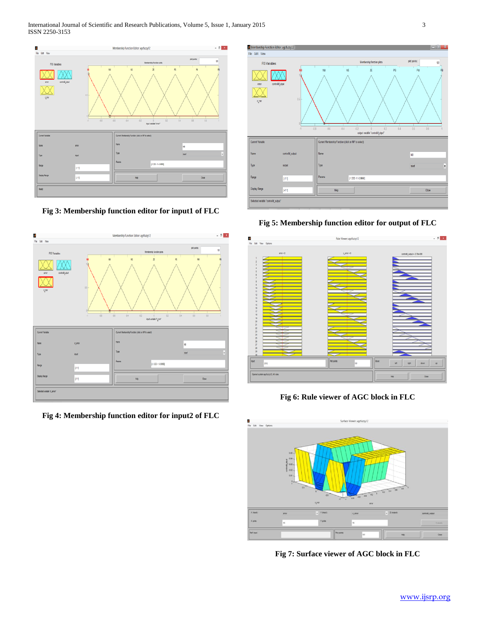

**Fig 3: Membership function editor for input1 of FLC**



**Fig 4: Membership function editor for input2 of FLC**



**Fig 5: Membership function editor for output of FLC**



**Fig 6: Rule viewer of AGC block in FLC**



**Fig 7: Surface viewer of AGC block in FLC**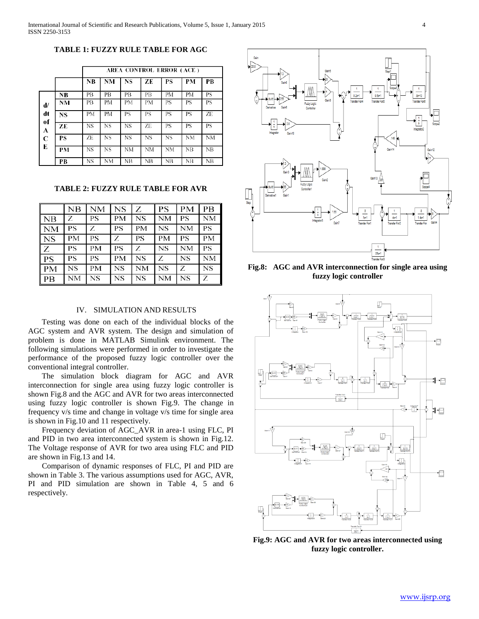**TABLE 1: FUZZY RULE TABLE FOR AGC**

|             |    | AREA CONTROL ERROR (ACE) |    |    |    |           |           |    |
|-------------|----|--------------------------|----|----|----|-----------|-----------|----|
|             |    | NB                       | NM | NS | ZE | PS        | PM        | РB |
|             | NB | PB                       | PВ | PВ | PВ | PМ        | PM        | PS |
| d/          | NM | PB                       | PМ | PM | PМ | PS        | PS        | PS |
| dt<br>of    | NS | PM                       | PM | PS | PS | PS        | PS        | ZE |
| A           | ZE | NS                       | NS | NS | ZE | PS        | PS        | ΡS |
| $\mathbf C$ | PS | ZE                       | NS | NS | NS | <b>NS</b> | <b>NM</b> | NM |
| Е           | PM | <b>NS</b>                | NS | NM | NM | NM        | NB        | NB |
|             | PВ | NS                       | NΜ | NВ | NΒ | NB        | NB        | NB |

**TABLE 2: FUZZY RULE TABLE FOR AVR**

|           | NB        | <b>NM</b> | <b>NS</b> | Z         | <b>PS</b> | <b>PM</b> | <b>PB</b> |
|-----------|-----------|-----------|-----------|-----------|-----------|-----------|-----------|
| NB        | Ζ         | PS        | <b>PM</b> | <b>NS</b> | <b>NM</b> | <b>PS</b> | <b>NM</b> |
| <b>NM</b> | PS        | Ζ         | <b>PS</b> | <b>PM</b> | <b>NS</b> | <b>NM</b> | <b>PS</b> |
| <b>NS</b> | <b>PM</b> | <b>PS</b> | Ζ         | PS        | <b>PM</b> | <b>PS</b> | <b>PM</b> |
| Ζ         | PS        | <b>PM</b> | <b>PS</b> | Ζ         | <b>NS</b> | <b>NM</b> | <b>PS</b> |
| <b>PS</b> | <b>PS</b> | <b>PS</b> | <b>PM</b> | <b>NS</b> | Ζ         | <b>NS</b> | <b>NM</b> |
| <b>PM</b> | <b>NS</b> | <b>PM</b> | <b>NS</b> | <b>NM</b> | <b>NS</b> | Ζ         | <b>NS</b> |
| PB        | <b>NM</b> | <b>NS</b> | <b>NS</b> | NS        | <b>NM</b> | <b>NS</b> | Z         |

# IV. SIMULATION AND RESULTS

 Testing was done on each of the individual blocks of the AGC system and AVR system. The design and simulation of problem is done in MATLAB Simulink environment. The following simulations were performed in order to investigate the performance of the proposed fuzzy logic controller over the conventional integral controller.

 The simulation block diagram for AGC and AVR interconnection for single area using fuzzy logic controller is shown Fig.8 and the AGC and AVR for two areas interconnected using fuzzy logic controller is shown Fig.9. The change in frequency v/s time and change in voltage v/s time for single area is shown in Fig.10 and 11 respectively.

 Frequency deviation of AGC\_AVR in area-1 using FLC, PI and PID in two area interconnected system is shown in Fig.12. The Voltage response of AVR for two area using FLC and PID are shown in Fig.13 and 14.

 Comparison of dynamic responses of FLC, PI and PID are shown in Table 3. The various assumptions used for AGC, AVR, PI and PID simulation are shown in Table 4, 5 and 6 respectively.



**Fig.8: AGC and AVR interconnection for single area using fuzzy logic controller**



**Fig.9: AGC and AVR for two areas interconnected using fuzzy logic controller.**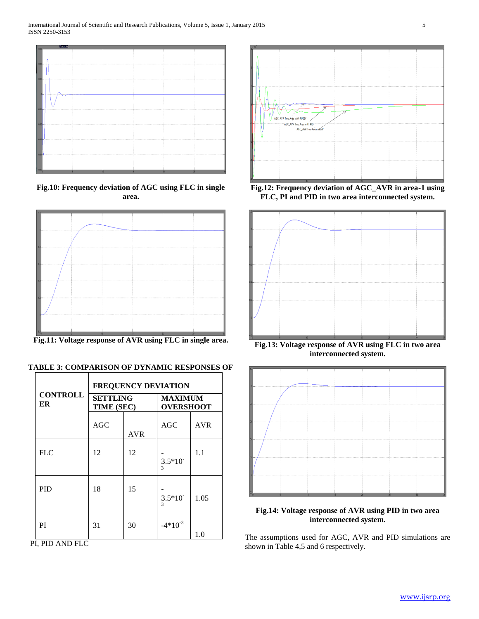

**Fig.10: Frequency deviation of AGC using FLC in single area.**



**Fig.11: Voltage response of AVR using FLC in single area.**

|--|

|                       | <b>FREQUENCY DEVIATION</b>    |            |                                    |            |  |  |
|-----------------------|-------------------------------|------------|------------------------------------|------------|--|--|
| <b>CONTROLL</b><br>ER | <b>SETTLING</b><br>TIME (SEC) |            | <b>MAXIMUM</b><br><b>OVERSHOOT</b> |            |  |  |
|                       | <b>AGC</b>                    | <b>AVR</b> | AGC                                | <b>AVR</b> |  |  |
| <b>FLC</b>            | 12                            | 12         | $3.5*10^{-}$<br>$\mathbf{3}$       | 1.1        |  |  |
| <b>PID</b>            | 18                            | 15         | $3.5*10^{-}$<br>$\mathbf{3}$       | 1.05       |  |  |
| PI                    | 31                            | 30         | $-4*10^{-3}$                       | 1.0        |  |  |

PI, PID AND FLC



**Fig.12: Frequency deviation of AGC\_AVR in area-1 using FLC, PI and PID in two area interconnected system.**



**Fig.13: Voltage response of AVR using FLC in two area interconnected system.**



**Fig.14: Voltage response of AVR using PID in two area interconnected system.**

The assumptions used for AGC, AVR and PID simulations are shown in Table 4,5 and 6 respectively.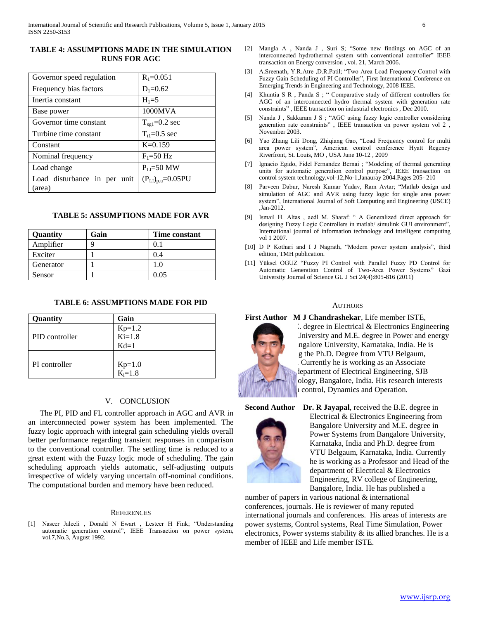# **TABLE 4: ASSUMPTIONS MADE IN THE SIMULATION RUNS FOR AGC**

| Governor speed regulation              | $R_1 = 0.051$            |
|----------------------------------------|--------------------------|
| Frequency bias factors                 | $D_1 = 0.62$             |
| Inertia constant                       | $H_1 = 5$                |
| Base power                             | 1000MVA                  |
| Governor time constant                 | $T_{\text{sg1}}=0.2$ sec |
| Turbine time constant                  | $T_{t1} = 0.5$ sec       |
| Constant                               | $K=0.159$                |
| Nominal frequency                      | $F_1 = 50 Hz$            |
| Load change                            | $P_{LI} = 50$ MW         |
| Load disturbance in per unit<br>(area) | $(P_{LI})_{p.u}=0.05PU$  |

# **TABLE 5: ASSUMPTIONS MADE FOR AVR**

| <b>Ouantity</b> | Gain | <b>Time constant</b> |
|-----------------|------|----------------------|
| Amplifier       |      | 01                   |
| Exciter         |      | 0.4                  |
| Generator       |      | 1.0                  |
| Sensor          |      | ი იร                 |

## **TABLE 6: ASSUMPTIONS MADE FOR PID**

| Quantity       | Gain                  |
|----------------|-----------------------|
|                | $Kp=1.2$<br>$Ki=1.8$  |
| PID controller |                       |
|                | $Kd=1$                |
|                |                       |
| PI controller  | $Kp=1.0$<br>$K_i=1.8$ |
|                |                       |

## V. CONCLUSION

 The PI, PID and FL controller approach in AGC and AVR in an interconnected power system has been implemented. The fuzzy logic approach with integral gain scheduling yields overall better performance regarding transient responses in comparison to the conventional controller. The settling time is reduced to a great extent with the Fuzzy logic mode of scheduling. The gain scheduling approach yields automatic, self-adjusting outputs irrespective of widely varying uncertain off-nominal conditions. The computational burden and memory have been reduced.

#### **REFERENCES**

[1] Naseer Jaleeli , Donald N Ewart , Lesteer H Fink; "Understanding automatic generation control", IEEE Transaction on power system, vol.7,No.3, August 1992.

- [2] Mangla A , Nanda J , Suri S; "Some new findings on AGC of an interconnected hydrothermal system with conventional controller" IEEE transaction on Energy conversion , vol. 21, March 2006.
- [3] A.Sreenath, Y.R.Atre ,D.R.Patil; "Two Area Load Frequency Control with Fuzzy Gain Scheduling of PI Controller", First International Conference on Emerging Trends in Engineering and Technology, 2008 IEEE.
- [4] Khuntia S R , Panda S ; " Comparative study of different controllers for AGC of an interconnected hydro thermal system with generation rate constraints" , IEEE transaction on industrial electronics , Dec 2010.
- [5] Nanda J , Sakkaram J S ; "AGC using fuzzy logic controller considering generation rate constraints" , IEEE transaction on power system vol 2 , November 2003.
- [6] Yao Zhang Lili Dong, Zhiqiang Gao, "Load Frequency control for multi area power system", American control conference Hyatt Regency Riverfront, St. Louis, MO , USA June 10-12 , 2009
- [7] Ignacio Egido, Fidel Fernandez Bernai ; "Modeling of thermal generating units for automatic generation control purpose", IEEE transaction on control system technology,vol-12,No-1,Janauray 2004.Pages 205- 210
- [8] Parveen Dabur, Naresh Kumar Yadav, Ram Avtar; "Matlab design and simulation of AGC and AVR using fuzzy logic for single area power system", International Journal of Soft Computing and Engineering (IJSCE) ,Jan-2012.
- [9] Ismail H. Altas , aedl M. Sharaf: " A Generalized direct approach for designing Fuzzy Logic Controllers in matlab/ simulink GUI environment", International journal of information technology and intelligent computing vol 1 2007.
- [10] D P Kothari and I J Nagrath, "Modern power system analysis", third edition, TMH publication.
- [11] Yüksel OGUZ "Fuzzy PI Control with Parallel Fuzzy PD Control for Automatic Generation Control of Two-Area Power Systems" Gazi University Journal of Science GU J Sci 24(4):805-816 (2011)

### AUTHORS

### **First Author** –**M J Chandrashekar***,* Life member ISTE,



 $\Omega$ . degree in Electrical & Electronics Engineering University and M.E. degree in Power and energy Ingalore University, Karnataka, India. He is g the Ph.D. Degree from VTU Belgaum, Currently he is working as an Associate lepartment of Electrical Engineering, SJB ology, Bangalore, India. His research interests a control, Dynamics and Operation.

**Second Author** – **Dr. R Jayapal**, received the B.E. degree in



Electrical & Electronics Engineering from Bangalore University and M.E. degree in Power Systems from Bangalore University, Karnataka, India and Ph.D. degree from VTU Belgaum, Karnataka, India. Currently he is working as a Professor and Head of the department of Electrical & Electronics Engineering, RV college of Engineering, Bangalore, India. He has published a

number of papers in various national & international conferences, journals. He is reviewer of many reputed international journals and conferences. His areas of interests are power systems, Control systems, Real Time Simulation, Power electronics, Power systems stability & its allied branches. He is a member of IEEE and Life member ISTE.